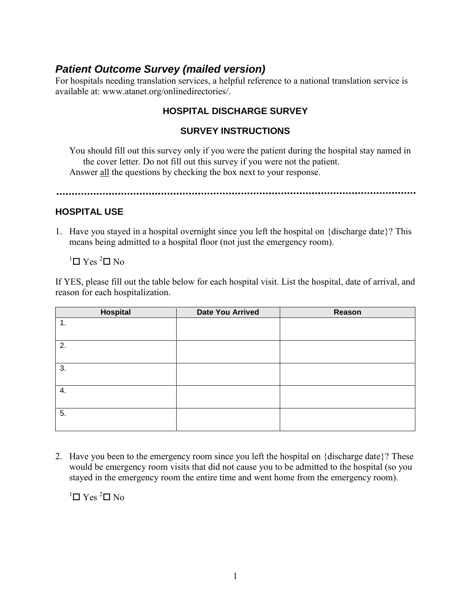# *Patient Outcome Survey (mailed version)*

For hospitals needing translation services, a helpful reference to a national translation service is available at: www.atanet.org/onlinedirectories/.

## **HOSPITAL DISCHARGE SURVEY**

## **SURVEY INSTRUCTIONS**

You should fill out this survey only if you were the patient during the hospital stay named in the cover letter. Do not fill out this survey if you were not the patient. Answer all the questions by checking the box next to your response.

#### **HOSPITAL USE**

1. Have you stayed in a hospital overnight since you left the hospital on {discharge date}? This means being admitted to a hospital floor (not just the emergency room).

 ${}^{1}$  $\square$  Yes  ${}^{2}$  $\square$  No

If YES, please fill out the table below for each hospital visit. List the hospital, date of arrival, and reason for each hospitalization.

| Hospital | Date You Arrived | Reason |
|----------|------------------|--------|
| 1.       |                  |        |
| 2.       |                  |        |
| 3.       |                  |        |
| 4.       |                  |        |
| 5.       |                  |        |

2. Have you been to the emergency room since you left the hospital on {discharge date}? These would be emergency room visits that did not cause you to be admitted to the hospital (so you stayed in the emergency room the entire time and went home from the emergency room).

 $1$  T Yes  $2$  T No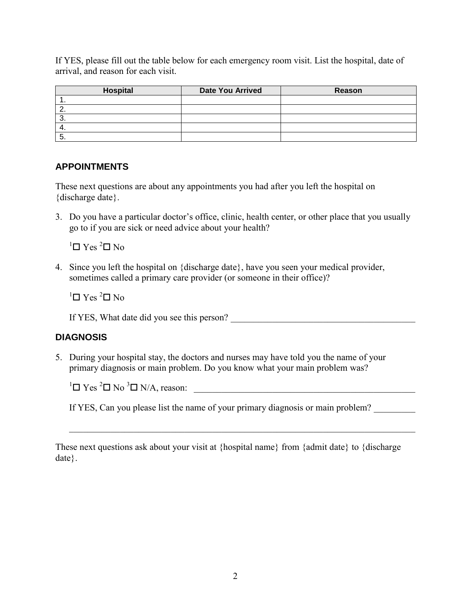If YES, please fill out the table below for each emergency room visit. List the hospital, date of arrival, and reason for each visit.

| <b>Hospital</b> | <b>Date You Arrived</b> | Reason |
|-----------------|-------------------------|--------|
|                 |                         |        |
|                 |                         |        |
|                 |                         |        |
|                 |                         |        |
|                 |                         |        |

## **APPOINTMENTS**

These next questions are about any appointments you had after you left the hospital on {discharge date}.

3. Do you have a particular doctor's office, clinic, health center, or other place that you usually go to if you are sick or need advice about your health?

 $1$  T Yes  $2$  T No

4. Since you left the hospital on {discharge date}, have you seen your medical provider, sometimes called a primary care provider (or someone in their office)?

 ${}^{1}$  $\Box$  Yes  ${}^{2}$  $\Box$  No

If YES, What date did you see this person? \_\_\_\_\_\_\_\_\_\_\_\_\_\_\_\_\_\_\_\_\_\_\_\_\_\_\_\_\_\_\_\_\_\_\_\_\_\_\_\_

## **DIAGNOSIS**

5. During your hospital stay, the doctors and nurses may have told you the name of your primary diagnosis or main problem. Do you know what your main problem was?

<sup>1</sup> Yes <sup>2</sup> No <sup>3</sup> N/A, reason: \_\_\_\_\_\_\_\_\_\_\_\_\_\_\_\_\_\_\_\_\_\_\_\_\_\_\_\_\_\_\_\_\_\_\_\_\_\_\_\_\_\_\_\_\_\_\_\_

If YES, Can you please list the name of your primary diagnosis or main problem?

These next questions ask about your visit at {hospital name} from {admit date} to {discharge date}.

\_\_\_\_\_\_\_\_\_\_\_\_\_\_\_\_\_\_\_\_\_\_\_\_\_\_\_\_\_\_\_\_\_\_\_\_\_\_\_\_\_\_\_\_\_\_\_\_\_\_\_\_\_\_\_\_\_\_\_\_\_\_\_\_\_\_\_\_\_\_\_\_\_\_\_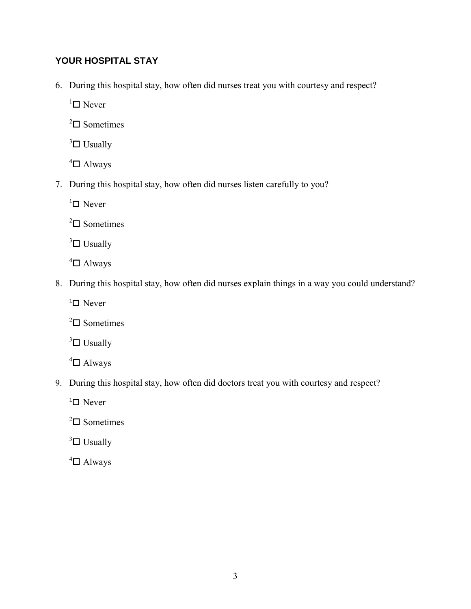# **YOUR HOSPITAL STAY**

6. During this hospital stay, how often did nurses treat you with courtesy and respect?

 ${}^{1}\square$  Never

 $2\Box$  Sometimes

 $3\Box$  Usually

 $4\Box$  Always

7. During this hospital stay, how often did nurses listen carefully to you?

 $1$ <sup>1</sup> $\Box$  Never

 $2\Box$  Sometimes

 $3\Box$  Usually

 $4\Box$  Always

8. During this hospital stay, how often did nurses explain things in a way you could understand?

 $1$ <sup>1</sup> $\Box$  Never

 $2\Box$  Sometimes

 $3\Box$  Usually

 $4\Box$  Always

9. During this hospital stay, how often did doctors treat you with courtesy and respect?

 $1$ <sup>1</sup> $\Box$  Never

 $2\Box$  Sometimes

 $3\Box$  Usually

 $4\Box$  Always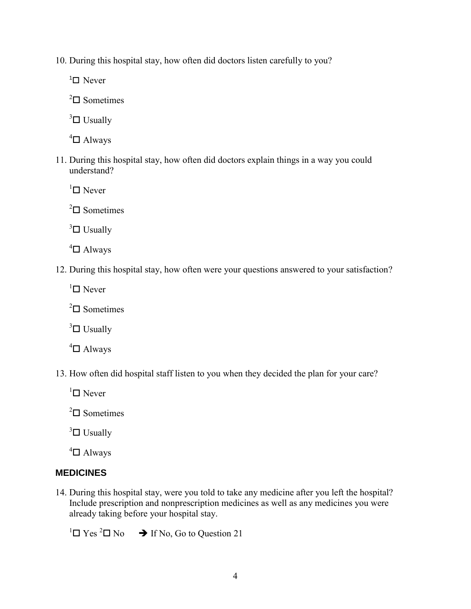10. During this hospital stay, how often did doctors listen carefully to you?

 $1$ <sup>1</sup> $\Box$  Never

 $2\Box$  Sometimes

 $3\Box$  Usually

 $4\Box$  Always

11. During this hospital stay, how often did doctors explain things in a way you could understand?

 ${}^{1}$  $\square$  Never

 $2\Box$  Sometimes

 $3\Box$  Usually

 $4\Box$  Always

12. During this hospital stay, how often were your questions answered to your satisfaction?

 ${}^{1}\square$  Never

 $2\Box$  Sometimes

 $3\Box$  Usually

 $4\Box$  Always

13. How often did hospital staff listen to you when they decided the plan for your care?

 ${}^{1}$  $\square$  Never

 $2\Box$  Sometimes

 $3\Box$  Usually

 $4$   $\Box$  Always

#### **MEDICINES**

14. During this hospital stay, were you told to take any medicine after you left the hospital? Include prescription and nonprescription medicines as well as any medicines you were already taking before your hospital stay.

 ${}^{1}\Box$  Yes  ${}^{2}\Box$  No  $\rightarrow$  If No, Go to Question 21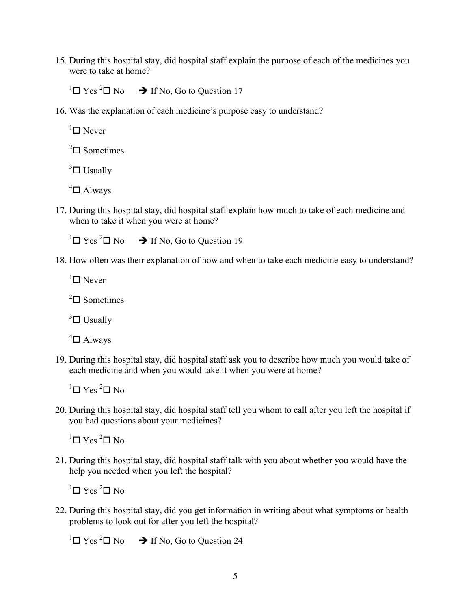15. During this hospital stay, did hospital staff explain the purpose of each of the medicines you were to take at home?

 ${}^{1}\Box$  Yes  ${}^{2}\Box$  No  $\rightarrow$  If No, Go to Question 17

16. Was the explanation of each medicine's purpose easy to understand?

 $\Box$  Never

 $^{2}$  $\Box$  Sometimes

 $3\Box$  Usually

 $4\Box$  Always

17. During this hospital stay, did hospital staff explain how much to take of each medicine and when to take it when you were at home?

<sup>1</sup> $\Box$  Yes <sup>2</sup> $\Box$  No  $\rightarrow$  If No, Go to Question 19

18. How often was their explanation of how and when to take each medicine easy to understand?

 ${}^{1}\square$  Never

 $2\Box$  Sometimes

 $3\Box$  Usually

 $4$   $\Box$  Always

19. During this hospital stay, did hospital staff ask you to describe how much you would take of each medicine and when you would take it when you were at home?

 ${}^{1}\square$  Yes  ${}^{2}\square$  No

20. During this hospital stay, did hospital staff tell you whom to call after you left the hospital if you had questions about your medicines?

 ${}^{1}\square$  Yes  ${}^{2}\square$  No

21. During this hospital stay, did hospital staff talk with you about whether you would have the help you needed when you left the hospital?

 ${}^{1}\square$  Yes  ${}^{2}\square$  No

22. During this hospital stay, did you get information in writing about what symptoms or health problems to look out for after you left the hospital?

<sup>1</sup> $\Box$  Yes <sup>2</sup> $\Box$  No  $\rightarrow$  If No, Go to Question 24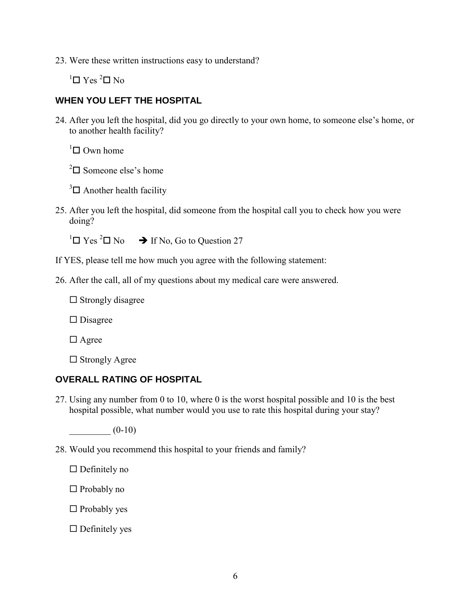23. Were these written instructions easy to understand?

 ${}^{1}$  $\square$  Yes  ${}^{2}$  $\square$  No

### **WHEN YOU LEFT THE HOSPITAL**

24. After you left the hospital, did you go directly to your own home, to someone else's home, or to another health facility?

 ${}^{1}\square$  Own home

 $2\Box$  Someone else's home

 $3\Box$  Another health facility

25. After you left the hospital, did someone from the hospital call you to check how you were doing?

 ${}^{1}\Box$  Yes  ${}^{2}\Box$  No  $\rightarrow$  If No, Go to Question 27

- If YES, please tell me how much you agree with the following statement:
- 26. After the call, all of my questions about my medical care were answered.

 $\square$  Strongly disagree

 $\square$  Disagree

 $\Box$  Agree

 $\square$  Strongly Agree

#### **OVERALL RATING OF HOSPITAL**

27. Using any number from 0 to 10, where 0 is the worst hospital possible and 10 is the best hospital possible, what number would you use to rate this hospital during your stay?

 $(0-10)$ 

28. Would you recommend this hospital to your friends and family?

 $\Box$  Definitely no

 $\Box$  Probably no

 $\Box$  Probably yes

 $\Box$  Definitely yes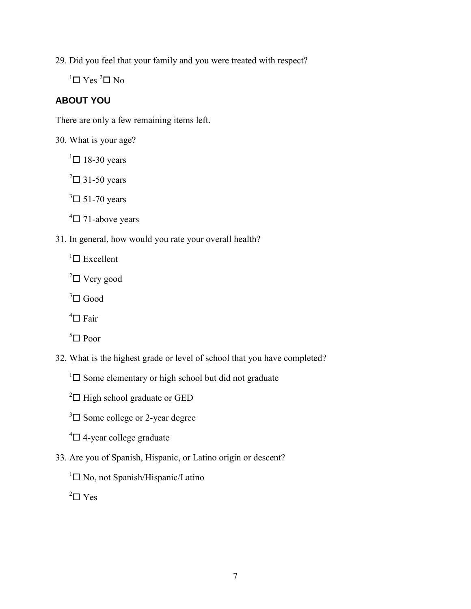29. Did you feel that your family and you were treated with respect?

 $1 \square$  Yes  $2 \square$  No

# **ABOUT YOU**

There are only a few remaining items left.

30. What is your age?

 $1 \square$  18-30 years

 $2 \square$  31-50 years

 $3\Box$  51-70 years

 $4\Box$  71-above years

31. In general, how would you rate your overall health?

 ${}^{1}\square$  Excellent

 $2\Box$  Very good

 $3 \square$  Good

 $\mathrm{^{4}\square}$  Fair

 $5 \square$  Poor

32. What is the highest grade or level of school that you have completed?

 $1 \square$  Some elementary or high school but did not graduate

 $2^2$  High school graduate or GED

 $3\Box$  Some college or 2-year degree

 $4\Box$  4-year college graduate

33. Are you of Spanish, Hispanic, or Latino origin or descent?

 ${}^{1}\square$  No, not Spanish/Hispanic/Latino

 $2 \square$  Yes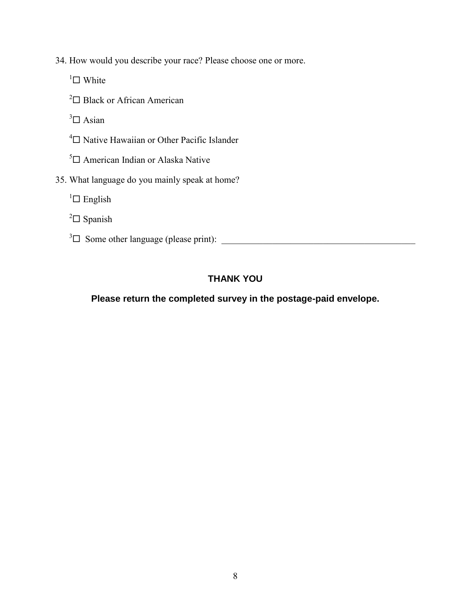- 34. How would you describe your race? Please choose one or more.
	- $\Box$  White
	- <sup>2</sup> $\Box$  Black or African American
	- $3\Box$  Asian
	- $4\Box$  Native Hawaiian or Other Pacific Islander
	- $5$  American Indian or Alaska Native
- 35. What language do you mainly speak at home?
	- ${}^{1}\square$  English
	- $2 \square$  Spanish
	- <sup>3</sup> Some other language (please print): \_\_\_\_\_\_\_\_\_\_\_\_\_\_\_\_\_\_\_\_\_\_\_\_\_\_\_\_\_\_\_\_\_\_\_\_\_\_\_\_\_\_

## **THANK YOU**

## **Please return the completed survey in the postage-paid envelope.**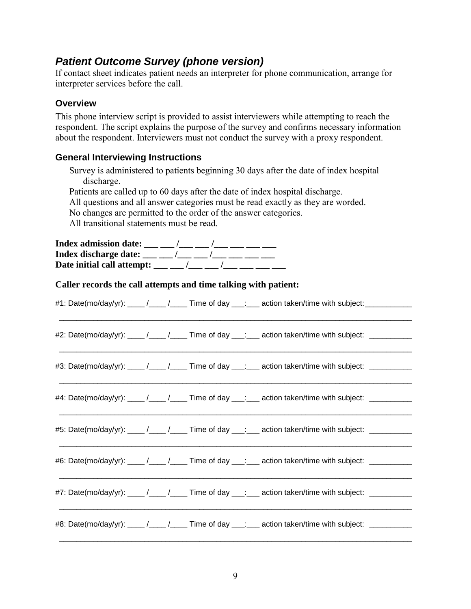# *Patient Outcome Survey (phone version)*

If contact sheet indicates patient needs an interpreter for phone communication, arrange for interpreter services before the call.

### **Overview**

This phone interview script is provided to assist interviewers while attempting to reach the respondent. The script explains the purpose of the survey and confirms necessary information about the respondent. Interviewers must not conduct the survey with a proxy respondent.

### **General Interviewing Instructions**

Survey is administered to patients beginning 30 days after the date of index hospital discharge. Patients are called up to 60 days after the date of index hospital discharge. All questions and all answer categories must be read exactly as they are worded. No changes are permitted to the order of the answer categories. All transitional statements must be read. **Index admission date:** \_\_\_ \_\_ /\_\_\_ \_\_ /\_\_\_ \_\_ \_\_ \_\_\_ \_\_\_ **Index discharge date:** \_\_\_ \_\_ /\_\_\_ \_\_ /\_\_\_ \_\_\_ \_\_\_ \_\_\_ Date initial call attempt: \_\_\_ \_\_ /\_\_\_ \_\_ /\_\_\_ \_\_\_ \_\_\_ \_\_\_ **Caller records the call attempts and time talking with patient:**  #1: Date(mo/day/yr): \_\_\_\_ /\_\_\_\_ /\_\_\_\_ Time of day \_\_\_: \_\_\_ action taken/time with subject: \_\_\_\_\_\_\_\_\_\_\_\_ \_\_\_\_\_\_\_\_\_\_\_\_\_\_\_\_\_\_\_\_\_\_\_\_\_\_\_\_\_\_\_\_\_\_\_\_\_\_\_\_\_\_\_\_\_\_\_\_\_\_\_\_\_\_\_\_\_\_\_\_\_\_\_\_\_\_\_\_\_\_\_\_\_\_\_\_\_\_\_\_\_\_\_ #2: Date(mo/day/yr):  $\frac{1}{2}$  /  $\frac{1}{2}$  Time of day  $\frac{1}{2}$ : action taken/time with subject: \_\_\_\_\_\_\_\_\_\_\_\_\_\_\_\_\_\_\_\_\_\_\_\_\_\_\_\_\_\_\_\_\_\_\_\_\_\_\_\_\_\_\_\_\_\_\_\_\_\_\_\_\_\_\_\_\_\_\_\_\_\_\_\_\_\_\_\_\_\_\_\_\_\_\_\_\_\_\_\_\_\_\_ #3: Date(mo/day/yr):  $\frac{1}{2}$  / $\frac{1}{2}$  Time of day  $\frac{1}{2}$  action taken/time with subject:  $\frac{1}{2}$ \_\_\_\_\_\_\_\_\_\_\_\_\_\_\_\_\_\_\_\_\_\_\_\_\_\_\_\_\_\_\_\_\_\_\_\_\_\_\_\_\_\_\_\_\_\_\_\_\_\_\_\_\_\_\_\_\_\_\_\_\_\_\_\_\_\_\_\_\_\_\_\_\_\_\_\_\_\_\_\_\_\_\_ #4: Date(mo/day/yr):  $\frac{1}{2}$  /  $\frac{1}{2}$  Time of day  $\frac{1}{2}$  action taken/time with subject:  $\frac{1}{2}$ \_\_\_\_\_\_\_\_\_\_\_\_\_\_\_\_\_\_\_\_\_\_\_\_\_\_\_\_\_\_\_\_\_\_\_\_\_\_\_\_\_\_\_\_\_\_\_\_\_\_\_\_\_\_\_\_\_\_\_\_\_\_\_\_\_\_\_\_\_\_\_\_\_\_\_\_\_\_\_\_\_\_\_ #5: Date(mo/day/yr):  $\frac{1}{2}$  /  $\frac{1}{2}$  Time of day  $\frac{1}{2}$  action taken/time with subject:  $\frac{1}{2}$ \_\_\_\_\_\_\_\_\_\_\_\_\_\_\_\_\_\_\_\_\_\_\_\_\_\_\_\_\_\_\_\_\_\_\_\_\_\_\_\_\_\_\_\_\_\_\_\_\_\_\_\_\_\_\_\_\_\_\_\_\_\_\_\_\_\_\_\_\_\_\_\_\_\_\_\_\_\_\_\_\_\_\_ #6: Date(mo/day/yr):  $\frac{1}{\sqrt{2}}$  / $\frac{1}{\sqrt{2}}$  Time of day  $\frac{1}{\sqrt{2}}$  action taken/time with subject:  $\frac{1}{\sqrt{2}}$ \_\_\_\_\_\_\_\_\_\_\_\_\_\_\_\_\_\_\_\_\_\_\_\_\_\_\_\_\_\_\_\_\_\_\_\_\_\_\_\_\_\_\_\_\_\_\_\_\_\_\_\_\_\_\_\_\_\_\_\_\_\_\_\_\_\_\_\_\_\_\_\_\_\_\_\_\_\_\_\_\_\_\_

#7: Date(mo/day/yr):  $\frac{1}{2}$  /  $\frac{1}{2}$  Time of day  $\frac{1}{2}$  action taken/time with subject:  $\frac{1}{2}$ 

#8: Date(mo/day/yr): \_\_\_\_ /\_\_\_\_ /\_\_\_\_ Time of day \_\_\_: \_\_\_ action taken/time with subject: \_\_\_\_\_\_\_\_\_

\_\_\_\_\_\_\_\_\_\_\_\_\_\_\_\_\_\_\_\_\_\_\_\_\_\_\_\_\_\_\_\_\_\_\_\_\_\_\_\_\_\_\_\_\_\_\_\_\_\_\_\_\_\_\_\_\_\_\_\_\_\_\_\_\_\_\_\_\_\_\_\_\_\_\_\_\_\_\_\_\_\_\_

\_\_\_\_\_\_\_\_\_\_\_\_\_\_\_\_\_\_\_\_\_\_\_\_\_\_\_\_\_\_\_\_\_\_\_\_\_\_\_\_\_\_\_\_\_\_\_\_\_\_\_\_\_\_\_\_\_\_\_\_\_\_\_\_\_\_\_\_\_\_\_\_\_\_\_\_\_\_\_\_\_\_\_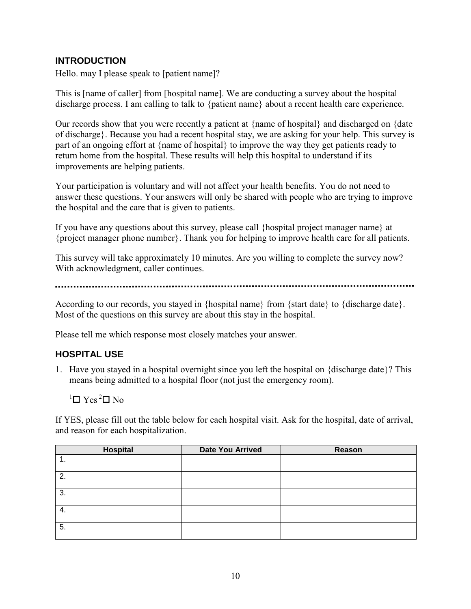## **INTRODUCTION**

Hello. may I please speak to [patient name]?

This is [name of caller] from [hospital name]. We are conducting a survey about the hospital discharge process. I am calling to talk to {patient name} about a recent health care experience.

Our records show that you were recently a patient at {name of hospital} and discharged on {date} of discharge}. Because you had a recent hospital stay, we are asking for your help. This survey is part of an ongoing effort at {name of hospital} to improve the way they get patients ready to return home from the hospital. These results will help this hospital to understand if its improvements are helping patients.

Your participation is voluntary and will not affect your health benefits. You do not need to answer these questions. Your answers will only be shared with people who are trying to improve the hospital and the care that is given to patients.

If you have any questions about this survey, please call {hospital project manager name} at {project manager phone number}. Thank you for helping to improve health care for all patients.

This survey will take approximately 10 minutes. Are you willing to complete the survey now? With acknowledgment, caller continues.

According to our records, you stayed in {hospital name} from {start date} to {discharge date}. Most of the questions on this survey are about this stay in the hospital.

Please tell me which response most closely matches your answer.

## **HOSPITAL USE**

1. Have you stayed in a hospital overnight since you left the hospital on {discharge date}? This means being admitted to a hospital floor (not just the emergency room).

 $1$  T Yes<sup>2</sup>  $\Box$  No

If YES, please fill out the table below for each hospital visit. Ask for the hospital, date of arrival, and reason for each hospitalization.

| Hospital | <b>Date You Arrived</b> | Reason |
|----------|-------------------------|--------|
| . .      |                         |        |
| 2.       |                         |        |
| 3.       |                         |        |
| -4.      |                         |        |
| 5.       |                         |        |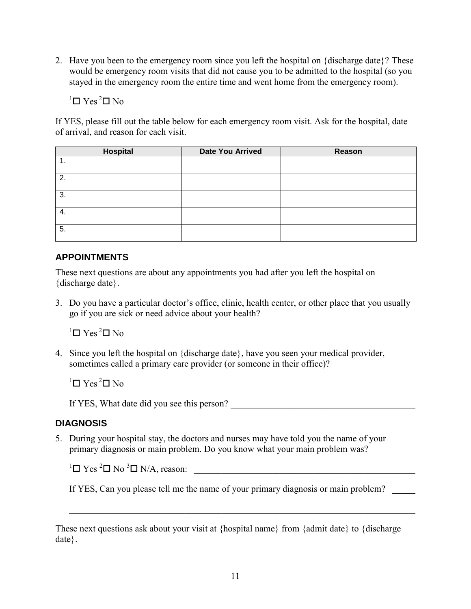2. Have you been to the emergency room since you left the hospital on {discharge date}? These would be emergency room visits that did not cause you to be admitted to the hospital (so you stayed in the emergency room the entire time and went home from the emergency room).

 ${}^{1}$  $\square$  Yes  ${}^{2}$  $\square$  No

If YES, please fill out the table below for each emergency room visit. Ask for the hospital, date of arrival, and reason for each visit.

| <b>Hospital</b> | <b>Date You Arrived</b> | Reason |
|-----------------|-------------------------|--------|
| . .             |                         |        |
| 2.              |                         |        |
| 3.              |                         |        |
| 4.              |                         |        |
| 5.              |                         |        |

## **APPOINTMENTS**

These next questions are about any appointments you had after you left the hospital on {discharge date}.

3. Do you have a particular doctor's office, clinic, health center, or other place that you usually go if you are sick or need advice about your health?

 $1$  T Yes<sup>2</sup> $\Box$  No

4. Since you left the hospital on {discharge date}, have you seen your medical provider, sometimes called a primary care provider (or someone in their office)?

 $1$  T Yes<sup>2</sup>  $\Box$  No

If YES, What date did you see this person?

## **DIAGNOSIS**

5. During your hospital stay, the doctors and nurses may have told you the name of your primary diagnosis or main problem. Do you know what your main problem was?

 $1 \square$  Yes  $2 \square$  No  $3 \square$  N/A, reason:

If YES, Can you please tell me the name of your primary diagnosis or main problem?

These next questions ask about your visit at {hospital name} from {admit date} to {discharge date}.

\_\_\_\_\_\_\_\_\_\_\_\_\_\_\_\_\_\_\_\_\_\_\_\_\_\_\_\_\_\_\_\_\_\_\_\_\_\_\_\_\_\_\_\_\_\_\_\_\_\_\_\_\_\_\_\_\_\_\_\_\_\_\_\_\_\_\_\_\_\_\_\_\_\_\_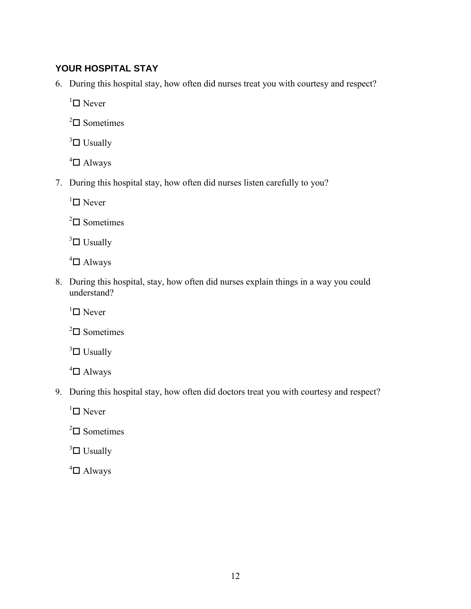## **YOUR HOSPITAL STAY**

6. During this hospital stay, how often did nurses treat you with courtesy and respect?

 $\mathbf{1}$  Never

 $2\Box$  Sometimes

 $3\Box$  Usually

 $4\Box$  Always

7. During this hospital stay, how often did nurses listen carefully to you?

 $\mathbf{1}$  Never

 $2\Box$  Sometimes

 $3\Box$  Usually

 $4\Box$  Always

8. During this hospital, stay, how often did nurses explain things in a way you could understand?

 $\mathsf{I}^{\mathsf{I}}$  Never

 $2\Box$  Sometimes

 $3\Box$  Usually

 $4\Box$  Always

9. During this hospital stay, how often did doctors treat you with courtesy and respect?

 $\mathbf{1}$  Never

 $2\Box$  Sometimes

 $3\Box$  Usually

 $4\Box$  Always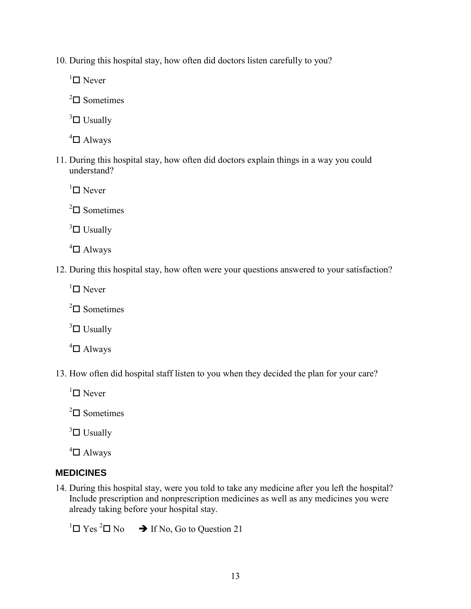10. During this hospital stay, how often did doctors listen carefully to you?

 ${}^{1}\square$  Never

 $2\Box$  Sometimes

 $3\Box$  Usually

 $4\Box$  Always

11. During this hospital stay, how often did doctors explain things in a way you could understand?

 ${}^{1}$  $\square$  Never

 $2\Box$  Sometimes

 $3\Box$  Usually

 $4\Box$  Always

12. During this hospital stay, how often were your questions answered to your satisfaction?

 ${}^{1}\square$  Never

 $2\Box$  Sometimes

 $3\Box$  Usually

 $4\Box$  Always

13. How often did hospital staff listen to you when they decided the plan for your care?

 ${}^{1}$  $\square$  Never

 $2\Box$  Sometimes

 $3\Box$  Usually

 $4$   $\Box$  Always

## **MEDICINES**

14. During this hospital stay, were you told to take any medicine after you left the hospital? Include prescription and nonprescription medicines as well as any medicines you were already taking before your hospital stay.

<sup>1</sup> $\Box$  Yes <sup>2</sup> $\Box$  No  $\rightarrow$  If No, Go to Question 21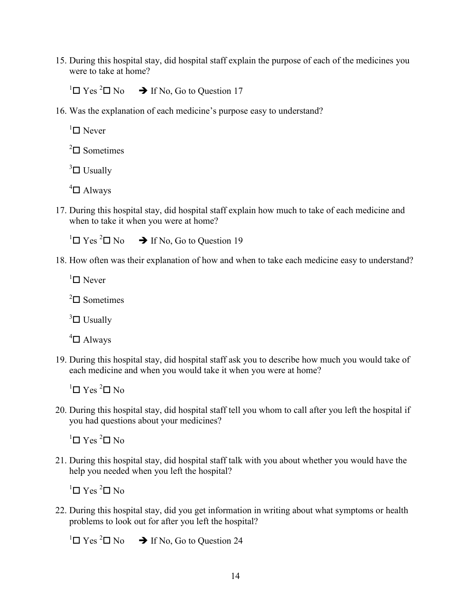15. During this hospital stay, did hospital staff explain the purpose of each of the medicines you were to take at home?

 ${}^{1}\Box$  Yes  ${}^{2}\Box$  No  $\rightarrow$  If No, Go to Question 17

16. Was the explanation of each medicine's purpose easy to understand?

 $\Box$  Never

 $^{2}$  $\Box$  Sometimes

 $3\Box$  Usually

 $4\Box$  Always

17. During this hospital stay, did hospital staff explain how much to take of each medicine and when to take it when you were at home?

<sup>1</sup> $\Box$  Yes <sup>2</sup> $\Box$  No  $\rightarrow$  If No, Go to Question 19

18. How often was their explanation of how and when to take each medicine easy to understand?

 ${}^{1}\square$  Never

 $2\Box$  Sometimes

 $3\Box$  Usually

 $4\Box$  Always

19. During this hospital stay, did hospital staff ask you to describe how much you would take of each medicine and when you would take it when you were at home?

 ${}^{1}\square$  Yes  ${}^{2}\square$  No

20. During this hospital stay, did hospital staff tell you whom to call after you left the hospital if you had questions about your medicines?

 ${}^{1}\square$  Yes  ${}^{2}\square$  No

21. During this hospital stay, did hospital staff talk with you about whether you would have the help you needed when you left the hospital?

 ${}^{1}\square$  Yes  ${}^{2}\square$  No

22. During this hospital stay, did you get information in writing about what symptoms or health problems to look out for after you left the hospital?

<sup>1</sup> $\Box$  Yes <sup>2</sup> $\Box$  No  $\rightarrow$  If No, Go to Question 24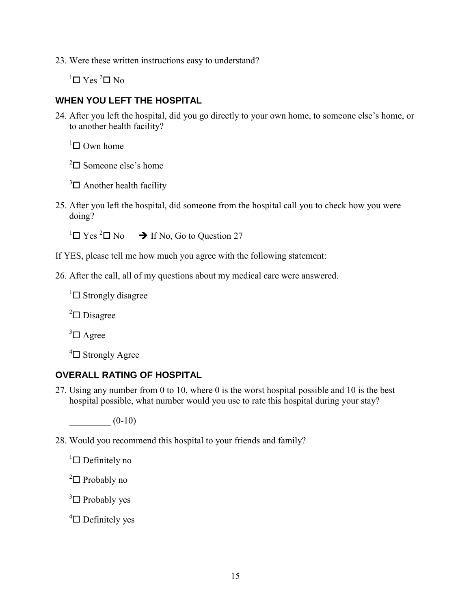23. Were these written instructions easy to understand?

 $1$ <sup>T</sup> Yes  $2$  N<sub>0</sub>

# **WHEN YOU LEFT THE HOSPITAL**

24. After you left the hospital, did you go directly to your own home, to someone else's home, or to another health facility?

 $1 \square$  Own home

 $2\Box$  Someone else's home

 $3\Box$  Another health facility

25. After you left the hospital, did someone from the hospital call you to check how you were doing?

 ${}^{1}\Box$  Yes  ${}^{2}\Box$  No  $\rightarrow$  If No, Go to Question 27

- If YES, please tell me how much you agree with the following statement:
- 26. After the call, all of my questions about my medical care were answered.

 $\Box$  Strongly disagree

 $2 \square$  Disagree

 $3\Box$  Agree

 $4\Box$  Strongly Agree

## **OVERALL RATING OF HOSPITAL**

27. Using any number from 0 to 10, where 0 is the worst hospital possible and 10 is the best hospital possible, what number would you use to rate this hospital during your stay?

 $(0-10)$ 

28. Would you recommend this hospital to your friends and family?

 ${}^{1}\square$  Definitely no

 $2 \square$  Probably no

 $3\Box$  Probably yes

 $4\Box$  Definitely yes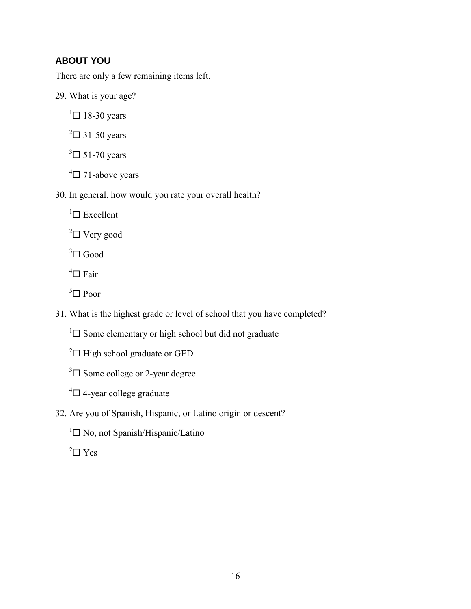# **ABOUT YOU**

There are only a few remaining items left.

29. What is your age?

 $1 \square$  18-30 years

 $2 \square$  31-50 years

 $3\Box$  51-70 years

 $4\Box$  71-above years

30. In general, how would you rate your overall health?

 ${}^{1}\square$  Excellent

 $2 \square$  Very good

 $3 \square$  Good

 $\mathrm{^{4} \square}$  Fair

 $5 \square$  Poor

31. What is the highest grade or level of school that you have completed?

 $\Box$  Some elementary or high school but did not graduate

 $2 \square$  High school graduate or GED

 $3\Box$  Some college or 2-year degree

 $4\Box$  4-year college graduate

32. Are you of Spanish, Hispanic, or Latino origin or descent?

 ${}^{1}\square$  No, not Spanish/Hispanic/Latino

 $2 \square$  Yes